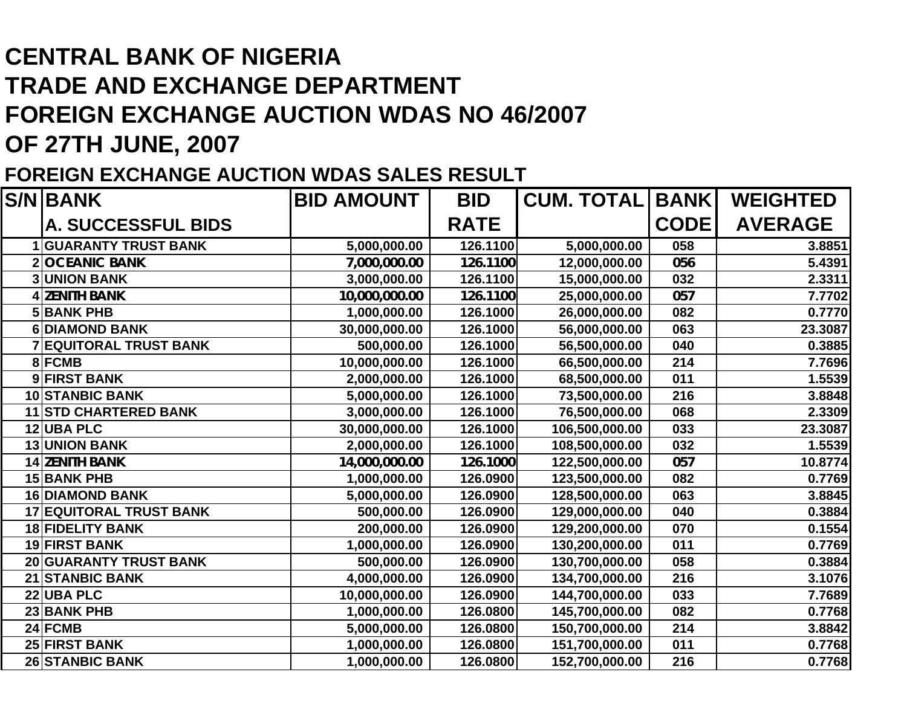## **CENTRAL BANK OF NIGERIATRADE AND EXCHANGE DEPARTMENTFOREIGN EXCHANGE AUCTION WDAS NO 46/2007 OF 27TH JUNE, 2007**

## **FOREIGN EXCHANGE AUCTION WDAS SALES RESULT**

| <b>S/N BANK</b>                | <b>BID AMOUNT</b> | <b>BID</b>  | <b>CUM. TOTAL</b> | <b>BANK</b> | <b>WEIGHTED</b> |
|--------------------------------|-------------------|-------------|-------------------|-------------|-----------------|
| <b>A. SUCCESSFUL BIDS</b>      |                   | <b>RATE</b> |                   | <b>CODE</b> | <b>AVERAGE</b>  |
| <b>GUARANTY TRUST BANK</b>     | 5,000,000.00      | 126.1100    | 5,000,000.00      | 058         | 3.8851          |
| <b>OCEANIC BANK</b>            | 7,000,000.00      | 126.1100    | 12,000,000.00     | 056         | 5.4391          |
| <b>UNION BANK</b>              | 3,000,000.00      | 126.1100    | 15,000,000.00     | 032         | 2.3311          |
| <b>ZENITH BANK</b>             | 10,000,000.00     | 126.1100    | 25,000,000.00     | 057         | 7.7702          |
| <b>5 BANK PHB</b>              | 1,000,000.00      | 126.1000    | 26,000,000.00     | 082         | 0.7770          |
| <b>6DIAMOND BANK</b>           | 30,000,000.00     | 126.1000    | 56,000,000.00     | 063         | 23.3087         |
| <b>7 EQUITORAL TRUST BANK</b>  | 500,000.00        | 126.1000    | 56,500,000.00     | 040         | 0.3885          |
| 8 FCMB                         | 10,000,000.00     | 126.1000    | 66,500,000.00     | 214         | 7.7696          |
| 9 FIRST BANK                   | 2,000,000.00      | 126.1000    | 68,500,000.00     | 011         | 1.5539          |
| <b>10 STANBIC BANK</b>         | 5,000,000.00      | 126.1000    | 73,500,000.00     | 216         | 3.8848          |
| <b>11 STD CHARTERED BANK</b>   | 3,000,000.00      | 126.1000    | 76,500,000.00     | 068         | 2.3309          |
| <b>12 UBA PLC</b>              | 30,000,000.00     | 126.1000    | 106,500,000.00    | 033         | 23.3087         |
| <b>13 UNION BANK</b>           | 2,000,000.00      | 126.1000    | 108,500,000.00    | 032         | 1.5539          |
| <b>14 ZENITH BANK</b>          | 14,000,000.00     | 126.1000    | 122,500,000.00    | 057         | 10.8774         |
| 15 BANK PHB                    | 1,000,000.00      | 126.0900    | 123,500,000.00    | 082         | 0.7769          |
| <b>16 DIAMOND BANK</b>         | 5,000,000.00      | 126.0900    | 128,500,000.00    | 063         | 3.8845          |
| <b>17 EQUITORAL TRUST BANK</b> | 500,000.00        | 126.0900    | 129,000,000.00    | 040         | 0.3884          |
| <b>18 FIDELITY BANK</b>        | 200,000.00        | 126.0900    | 129,200,000.00    | 070         | 0.1554          |
| <b>19 FIRST BANK</b>           | 1,000,000.00      | 126.0900    | 130,200,000.00    | 011         | 0.7769          |
| 20 GUARANTY TRUST BANK         | 500,000.00        | 126.0900    | 130,700,000.00    | 058         | 0.3884          |
| 21 STANBIC BANK                | 4,000,000.00      | 126.0900    | 134,700,000.00    | 216         | 3.1076          |
| 22 UBA PLC                     | 10,000,000.00     | 126.0900    | 144,700,000.00    | 033         | 7.7689          |
| 23 BANK PHB                    | 1,000,000.00      | 126.0800    | 145,700,000.00    | 082         | 0.7768          |
| 24 FCMB                        | 5,000,000.00      | 126.0800    | 150,700,000.00    | 214         | 3.8842          |
| 25 FIRST BANK                  | 1,000,000.00      | 126.0800    | 151,700,000.00    | 011         | 0.7768          |
| <b>26 STANBIC BANK</b>         | 1,000,000.00      | 126.0800    | 152,700,000.00    | 216         | 0.7768          |